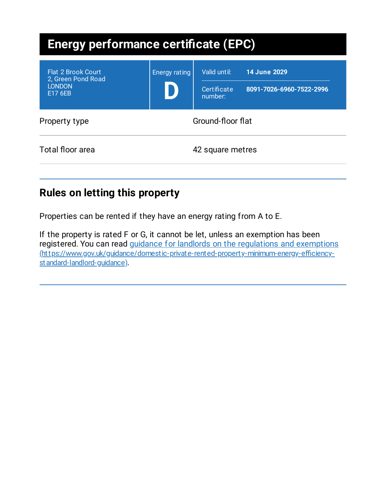| <b>Energy performance certificate (EPC)</b>                                 |                      |                                        |                                                 |
|-----------------------------------------------------------------------------|----------------------|----------------------------------------|-------------------------------------------------|
| <b>Flat 2 Brook Court</b><br>2, Green Pond Road<br><b>LONDON</b><br>E17 6EB | <b>Energy rating</b> | Valid until:<br>Certificate<br>number: | <b>14 June 2029</b><br>8091-7026-6960-7522-2996 |
| Property type                                                               | Ground-floor flat    |                                        |                                                 |
| Total floor area                                                            |                      | 42 square metres                       |                                                 |

# **Rules on letting this property**

Properties can be rented if they have an energy rating from A to E.

If the property is rated F or G, it cannot be let, unless an exemption has been registered. You can read guidance for landlords on the regulations and exemptions [\(https://www.gov.uk/guidance/domestic-private-rented-property-minimum-energy-efficiency](https://www.gov.uk/guidance/domestic-private-rented-property-minimum-energy-efficiency-standard-landlord-guidance)standard-landlord-guidance).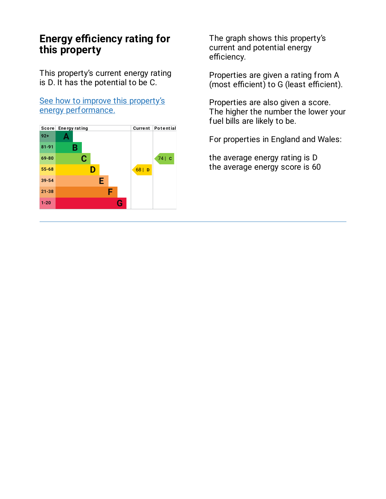## **Energy efficiency rating for this property**

This property's current energy rating is D. It has the potential to be C.

See how to improve this property's energy [performance.](#page-3-0)



The graph shows this property's current and potential energy efficiency.

Properties are given a rating from A (most efficient) to G (least efficient).

Properties are also given a score. The higher the number the lower your fuel bills are likely to be.

For properties in England and Wales:

the average energy rating is D the average energy score is 60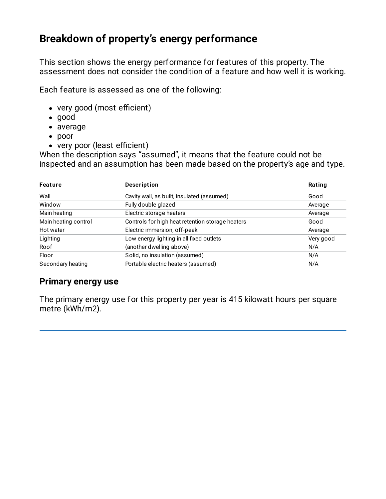# **Breakdown of property's energy performance**

This section shows the energy performance for features of this property. The assessment does not consider the condition of a feature and how well it is working.

Each feature is assessed as one of the following:

- very good (most efficient)
- good
- average
- poor
- very poor (least efficient)

When the description says "assumed", it means that the feature could not be inspected and an assumption has been made based on the property's age and type.

| Feature              | <b>Description</b>                               | Rating    |
|----------------------|--------------------------------------------------|-----------|
| Wall                 | Cavity wall, as built, insulated (assumed)       | Good      |
| Window               | Fully double glazed                              | Average   |
| Main heating         | Electric storage heaters                         | Average   |
| Main heating control | Controls for high heat retention storage heaters | Good      |
| Hot water            | Electric immersion, off-peak                     | Average   |
| Lighting             | Low energy lighting in all fixed outlets         | Very good |
| Roof                 | (another dwelling above)                         | N/A       |
| Floor                | Solid, no insulation (assumed)                   | N/A       |
| Secondary heating    | Portable electric heaters (assumed)              | N/A       |

### **Primary energy use**

The primary energy use for this property per year is 415 kilowatt hours per square metre (kWh/m2).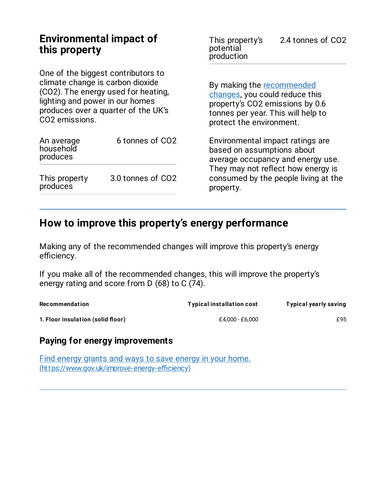## **Environmental impact of this property**

One of the biggest contributors to climate change is carbon dioxide (CO2). The energy used for heating, lighting and power in our homes produces over a quarter of the UK's CO2 emissions.

| An average<br>household<br>produces | 6 tonnes of CO2   |
|-------------------------------------|-------------------|
| This property<br>produces           | 3.0 tonnes of CO2 |

This property's potential production 2.4 tonnes of CO2

By making the [recommended](#page-3-0) changes, you could reduce this property's CO2 emissions by 0.6 tonnes per year. This will help to protect the environment.

Environmental impact ratings are based on assumptions about average occupancy and energy use. They may not reflect how energy is consumed by the people living at the property.

## <span id="page-3-0"></span>**How to improve this property's energy performance**

Making any of the recommended changes will improve this property's energy efficiency.

If you make all of the recommended changes, this will improve the property's energy rating and score from D (68) to C (74).

| Recommendation                    | <b>Typical installation cost</b> | <b>Typical yearly saving</b> |
|-----------------------------------|----------------------------------|------------------------------|
| 1. Floor insulation (solid floor) | £4.000 - £6.000                  | £95                          |

### **Paying for energy improvements**

Find energy grants and ways to save energy in your home. [\(https://www.gov.uk/improve-energy-efficiency\)](https://www.gov.uk/improve-energy-efficiency)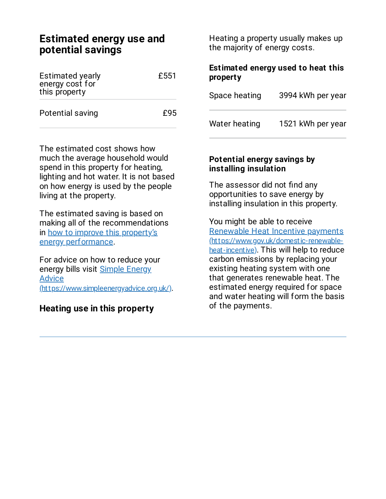## **Estimated energy use and potential savings**

| <b>Estimated yearly</b><br>energy cost for<br>this property | £551 |
|-------------------------------------------------------------|------|
| Potential saving                                            | £95  |

The estimated cost shows how much the average household would spend in this property for heating, lighting and hot water. It is not based on how energy is used by the people living at the property.

The estimated saving is based on making all of the recommendations in how to improve this property's energy [performance.](#page-3-0)

For advice on how to reduce your energy bills visit Simple Energy **Advice** [\(https://www.simpleenergyadvice.org.uk/\)](https://www.simpleenergyadvice.org.uk/).

#### **Heating use in this property**

Heating a property usually makes up the majority of energy costs.

#### **Estimated energy used to heat this property**

| Space heating | 3994 kWh per year |
|---------------|-------------------|
| Water heating | 1521 kWh per year |

#### **Potential energy savings by installing insulation**

The assessor did not find any opportunities to save energy by installing insulation in this property.

You might be able to receive Renewable Heat Incentive payments [\(https://www.gov.uk/domestic-renewable](https://www.gov.uk/domestic-renewable-heat-incentive)heat-incentive). This will help to reduce carbon emissions by replacing your existing heating system with one that generates renewable heat. The estimated energy required for space and water heating will form the basis of the payments.